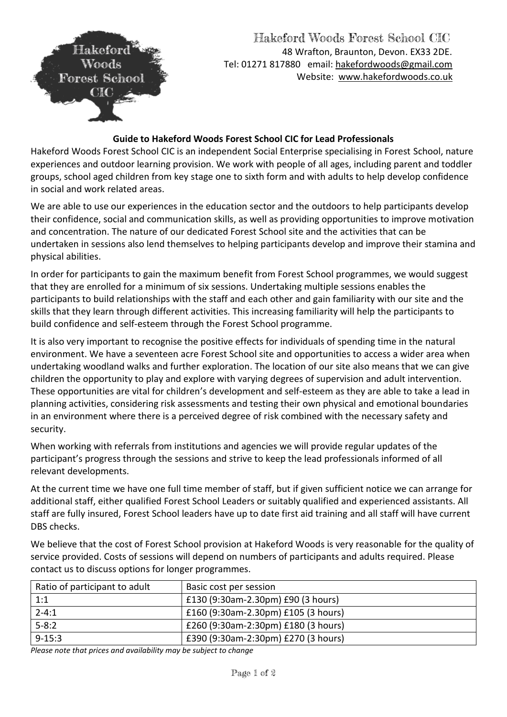

#### **Guide to Hakeford Woods Forest School CIC for Lead Professionals**

Hakeford Woods Forest School CIC is an independent Social Enterprise specialising in Forest School, nature experiences and outdoor learning provision. We work with people of all ages, including parent and toddler groups, school aged children from key stage one to sixth form and with adults to help develop confidence in social and work related areas.

We are able to use our experiences in the education sector and the outdoors to help participants develop their confidence, social and communication skills, as well as providing opportunities to improve motivation and concentration. The nature of our dedicated Forest School site and the activities that can be undertaken in sessions also lend themselves to helping participants develop and improve their stamina and physical abilities.

In order for participants to gain the maximum benefit from Forest School programmes, we would suggest that they are enrolled for a minimum of six sessions. Undertaking multiple sessions enables the participants to build relationships with the staff and each other and gain familiarity with our site and the skills that they learn through different activities. This increasing familiarity will help the participants to build confidence and self-esteem through the Forest School programme.

It is also very important to recognise the positive effects for individuals of spending time in the natural environment. We have a seventeen acre Forest School site and opportunities to access a wider area when undertaking woodland walks and further exploration. The location of our site also means that we can give children the opportunity to play and explore with varying degrees of supervision and adult intervention. These opportunities are vital for children's development and self-esteem as they are able to take a lead in planning activities, considering risk assessments and testing their own physical and emotional boundaries in an environment where there is a perceived degree of risk combined with the necessary safety and security.

When working with referrals from institutions and agencies we will provide regular updates of the participant's progress through the sessions and strive to keep the lead professionals informed of all relevant developments.

At the current time we have one full time member of staff, but if given sufficient notice we can arrange for additional staff, either qualified Forest School Leaders or suitably qualified and experienced assistants. All staff are fully insured, Forest School leaders have up to date first aid training and all staff will have current DBS checks.

We believe that the cost of Forest School provision at Hakeford Woods is very reasonable for the quality of service provided. Costs of sessions will depend on numbers of participants and adults required. Please contact us to discuss options for longer programmes.

| Ratio of participant to adult | Basic cost per session              |
|-------------------------------|-------------------------------------|
| 1:1                           | £130 (9:30am-2.30pm) £90 (3 hours)  |
| $2 - 4:1$                     | £160 (9:30am-2.30pm) £105 (3 hours) |
| $5 - 8:2$                     | £260 (9:30am-2:30pm) £180 (3 hours) |
| $9 - 15:3$                    | £390 (9:30am-2:30pm) £270 (3 hours) |

*Please note that prices and availability may be subject to change*